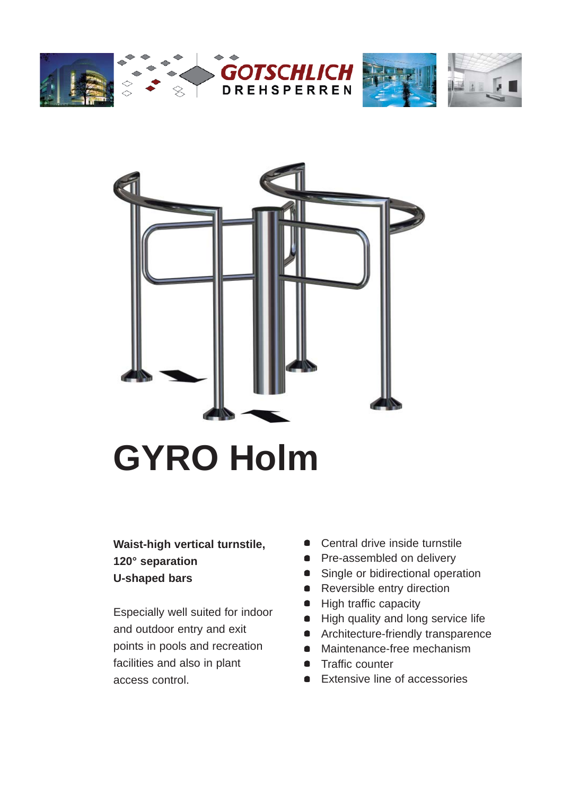





# **GYRO Holm**

### **Waist-high vertical turnstile, 120° separation U-shaped bars**

Especially well suited for indoor and outdoor entry and exit points in pools and recreation facilities and also in plant access control.

- Central drive inside turnstile
- Pre-assembled on delivery
- Single or bidirectional operation
- Reversible entry direction
- High traffic capacity
- High quality and long service life
- **•** Architecture-friendly transparence
- Maintenance-free mechanism
- **•** Traffic counter
- **Extensive line of accessories**